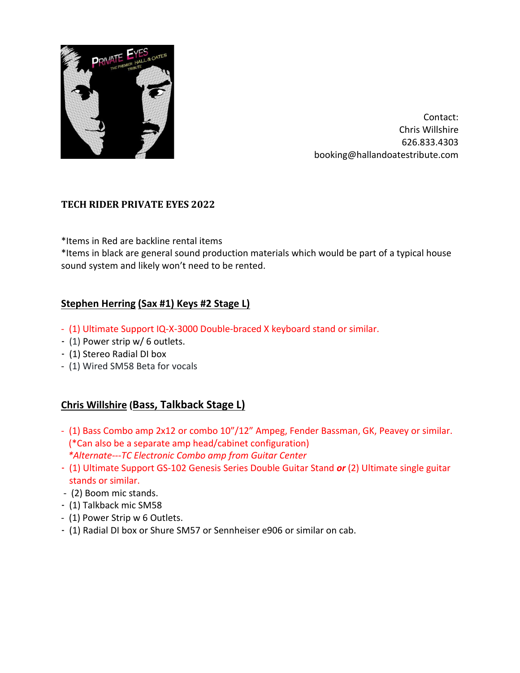

Contact: Chris Willshire 626.833.4303 booking@hallandoatestribute.com

#### **TECH RIDER PRIVATE EYES 2022**

\*Items in Red are backline rental items

\*Items in black are general sound production materials which would be part of a typical house sound system and likely won't need to be rented.

#### **Stephen Herring (Sax #1) Keys #2 Stage L)**

- (1) Ultimate Support IQ-X-3000 Double-braced X keyboard stand or similar.
- (1) Power strip w/ 6 outlets.
- (1) Stereo Radial DI box
- (1) Wired SM58 Beta for vocals

# **Chris Willshire (Bass, Talkback Stage L)**

- (1) Bass Combo amp 2x12 or combo 10"/12" Ampeg, Fender Bassman, GK, Peavey or similar. (\*Can also be a separate amp head/cabinet configuration) *\*Alternate---TC Electronic Combo amp from Guitar Center*
- (1) Ultimate Support GS-102 Genesis Series Double Guitar Stand *or* (2) Ultimate single guitar stands or similar.
- (2) Boom mic stands.
- (1) Talkback mic SM58
- (1) Power Strip w 6 Outlets.
- (1) Radial DI box or Shure SM57 or Sennheiser e906 or similar on cab.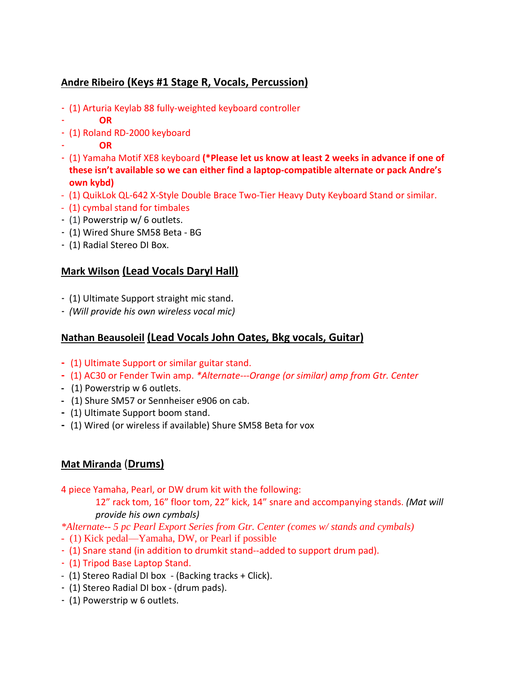# **Andre Ribeiro (Keys #1 Stage R, Vocals, Percussion)**

- (1) Arturia Keylab 88 fully-weighted keyboard controller
- - **OR**
- (1) Roland RD-2000 keyboard
- **OR**
- (1) Yamaha Motif XE8 keyboard **(\*Please let us know at least 2 weeks in advance if one of these isn't available so we can either find a laptop-compatible alternate or pack Andre's own kybd)**
- (1) QuikLok QL-642 X-Style Double Brace Two-Tier Heavy Duty Keyboard Stand or similar.
- (1) cymbal stand for timbales
- (1) Powerstrip w/ 6 outlets.
- (1) Wired Shure SM58 Beta BG
- (1) Radial Stereo DI Box.

# **Mark Wilson (Lead Vocals Daryl Hall)**

- (1) Ultimate Support straight mic stand.
- *(Will provide his own wireless vocal mic)*

# **Nathan Beausoleil (Lead Vocals John Oates, Bkg vocals, Guitar)**

- **-** (1) Ultimate Support or similar guitar stand.
- **-** (1) AC30 or Fender Twin amp. *\*Alternate---Orange (or similar) amp from Gtr. Center*
- (1) Powerstrip w 6 outlets.
- (1) Shure SM57 or Sennheiser e906 on cab.
- **-** (1) Ultimate Support boom stand.
- **-** (1) Wired (or wireless if available) Shure SM58 Beta for vox

# **Mat Miranda** (**Drums)**

4 piece Yamaha, Pearl, or DW drum kit with the following:

12" rack tom, 16" floor tom, 22" kick, 14" snare and accompanying stands. *(Mat will provide his own cymbals)*

*\*Alternate-- 5 pc Pearl Export Series from Gtr. Center (comes w/ stands and cymbals)*

- (1) Kick pedal—Yamaha, DW, or Pearl if possible
- (1) Snare stand (in addition to drumkit stand--added to support drum pad).
- (1) Tripod Base Laptop Stand.
- (1) Stereo Radial DI box (Backing tracks + Click).
- (1) Stereo Radial DI box (drum pads).
- (1) Powerstrip w 6 outlets.